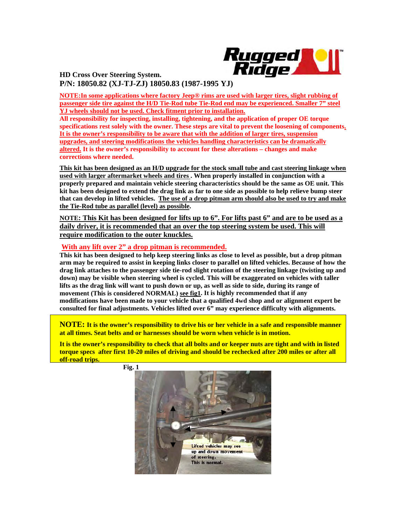

**HD Cross Over Steering System. P/N: 18050.82 (XJ-TJ-ZJ) 18050.83 (1987-1995 YJ)**

**NOTE:In some applications where factory Jeep® rims are used with larger tires, slight rubbing of passenger side tire against the H/D Tie-Rod tube Tie-Rod end may be experienced. Smaller 7" steel YJ wheels should not be used. Check fitment prior to installation.**

**All responsibility for inspecting, installing, tightening, and the application of proper OE torque specifications rest solely with the owner. These steps are vital to prevent the loosening of components. It is the owner's responsibility to be aware that with the addition of larger tires, suspension upgrades, and steering modifications the vehicles handling characteristics can be dramatically altered. It is the owner's responsibility to account for these alterations – changes and make corrections where needed.** 

**This kit has been designed as an H/D upgrade for the stock small tube and cast steering linkage when used with larger aftermarket wheels and tires . When properly installed in conjunction with a properly prepared and maintain vehicle steering characteristics should be the same as OE unit. This kit has been designed to extend the drag link as far to one side as possible to help relieve bump steer that can develop in lifted vehicles. The use of a drop pitman arm should also be used to try and make the Tie-Rod tube as parallel (level) as possible.** 

**NOTE: This Kit has been designed for lifts up to 6". For lifts past 6" and are to be used as a daily driver, it is recommended that an over the top steering system be used. This will require modification to the outer knuckles.**

## **With any lift over 2" a drop pitman is recommended.**

**This kit has been designed to help keep steering links as close to level as possible, but a drop pitman arm may be required to assist in keeping links closer to parallel on lifted vehicles. Because of how the drag link attaches to the passenger side tie-rod slight rotation of the steering linkage (twisting up and down) may be visible when steering wheel is cycled. This will be exaggerated on vehicles with taller lifts as the drag link will want to push down or up, as well as side to side, during its range of movement (This is considered NORMAL) see fig1. It is highly recommended that if any modifications have been made to your vehicle that a qualified 4wd shop and or alignment expert be consulted for final adjustments. Vehicles lifted over 6" may experience difficulty with alignments.** 

**NOTE: It is the owner's responsibility to drive his or her vehicle in a safe and responsible manner at all times. Seat belts and or harnesses should be worn when vehicle is in motion.**

**It is the owner's responsibility to check that all bolts and or keeper nuts are tight and with in listed torque specs after first 10-20 miles of driving and should be rechecked after 200 miles or after all off-road trips.** 



 **Fig. 1**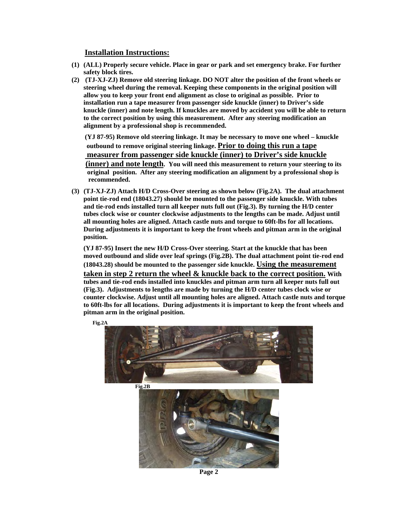## **Installation Instructions:**

- **(1) (ALL) Properly secure vehicle. Place in gear or park and set emergency brake. For further safety block tires.**
- **(2) (TJ-XJ-ZJ) Remove old steering linkage. DO NOT alter the position of the front wheels or steering wheel during the removal. Keeping these components in the original position will allow you to keep your front end alignment as close to original as possible. Prior to installation run a tape measurer from passenger side knuckle (inner) to Driver's side knuckle (inner) and note length. If knuckles are moved by accident you will be able to return to the correct position by using this measurement. After any steering modification an alignment by a professional shop is recommended.**

 **(YJ 87-95) Remove old steering linkage. It may be necessary to move one wheel – knuckle outbound to remove original steering linkage. Prior to doing this run a tape measurer from passenger side knuckle (inner) to Driver's side knuckle (inner) and note length. You will need this measurement to return your steering to its** 

 **original position. After any steering modification an alignment by a professional shop is recommended.** 

**(3) (TJ-XJ-ZJ) Attach H/D Cross-Over steering as shown below (Fig.2A). The dual attachment point tie-rod end (18043.27) should be mounted to the passenger side knuckle. With tubes and tie-rod ends installed turn all keeper nuts full out (Fig.3). By turning the H/D center tubes clock wise or counter clockwise adjustments to the lengths can be made. Adjust until all mounting holes are aligned. Attach castle nuts and torque to 60ft-lbs for all locations. During adjustments it is important to keep the front wheels and pitman arm in the original position.** 

**(YJ 87-95) Insert the new H/D Cross-Over steering. Start at the knuckle that has been moved outbound and slide over leaf springs (Fig.2B). The dual attachment point tie-rod end (18043.28) should be mounted to the passenger side knuckle. Using the measurement taken in step 2 return the wheel & knuckle back to the correct position. With tubes and tie-rod ends installed into knuckles and pitman arm turn all keeper nuts full out (Fig.3). Adjustments to lengths are made by turning the H/D center tubes clock wise or counter clockwise. Adjust until all mounting holes are aligned. Attach castle nuts and torque to 60ft-lbs for all locations. During adjustments it is important to keep the front wheels and pitman arm in the original position.** 



**Page 2**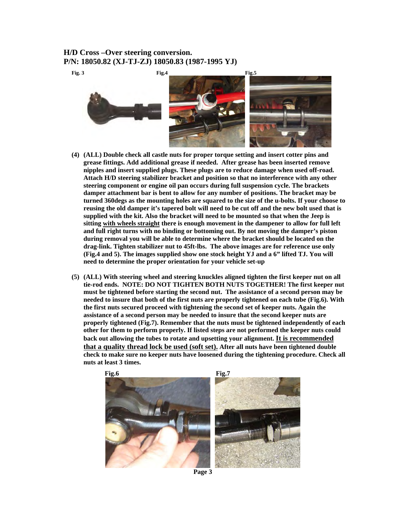## **H/D Cross –Over steering conversion.**



- **(4) (ALL) Double check all castle nuts for proper torque setting and insert cotter pins and grease fittings. Add additional grease if needed. After grease has been inserted remove nipples and insert supplied plugs. These plugs are to reduce damage when used off-road. Attach H/D steering stabilizer bracket and position so that no interference with any other steering component or engine oil pan occurs during full suspension cycle. The brackets damper attachment bar is bent to allow for any number of positions. The bracket may be turned 360degs as the mounting holes are squared to the size of the u-bolts. If your choose to reusing the old damper it's tapered bolt will need to be cut off and the new bolt used that is supplied with the kit. Also the bracket will need to be mounted so that when the Jeep is sitting with wheels straight there is enough movement in the dampener to allow for full left and full right turns with no binding or bottoming out. By not moving the damper's piston during removal you will be able to determine where the bracket should be located on the drag-link. Tighten stabilizer nut to 45ft-lbs. The above images are for reference use only (Fig.4 and 5). The images supplied show one stock height YJ and a 6" lifted TJ. You will need to determine the proper orientation for your vehicle set-up**
- **(5) (ALL) With steering wheel and steering knuckles aligned tighten the first keeper nut on all tie-rod ends. NOTE: DO NOT TIGHTEN BOTH NUTS TOGETHER! The first keeper nut must be tightened before starting the second nut. The assistance of a second person may be needed to insure that both of the first nuts are properly tightened on each tube (Fig.6). With the first nuts secured proceed with tightening the second set of keeper nuts. Again the assistance of a second person may be needed to insure that the second keeper nuts are properly tightened (Fig.7). Remember that the nuts must be tightened independently of each other for them to perform properly. If listed steps are not performed the keeper nuts could back out allowing the tubes to rotate and upsetting your alignment. It is recommended that a quality thread lock be used (soft set). After all nuts have been tightened double check to make sure no keeper nuts have loosened during the tightening procedure. Check all nuts at least 3 times.**



 **Page 3**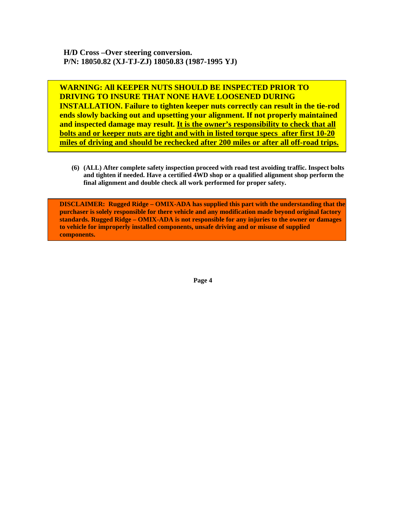**H/D Cross –Over steering conversion. P/N: 18050.82 (XJ-TJ-ZJ) 18050.83 (1987-1995 YJ)** 

**WARNING: All KEEPER NUTS SHOULD BE INSPECTED PRIOR TO DRIVING TO INSURE THAT NONE HAVE LOOSENED DURING INSTALLATION. Failure to tighten keeper nuts correctly can result in the tie-rod ends slowly backing out and upsetting your alignment. If not properly maintained and inspected damage may result. It is the owner's responsibility to check that all bolts and or keeper nuts are tight and with in listed torque specs after first 10-20 miles of driving and should be rechecked after 200 miles or after all off-road trips.**

**(6) (ALL) After complete safety inspection proceed with road test avoiding traffic. Inspect bolts and tighten if needed. Have a certified 4WD shop or a qualified alignment shop perform the final alignment and double check all work performed for proper safety.** 

**DISCLAIMER: Rugged Ridge – OMIX-ADA has supplied this part with the understanding that the purchaser is solely responsible for there vehicle and any modification made beyond original factory standards. Rugged Ridge – OMIX-ADA is not responsible for any injuries to the owner or damages to vehicle for improperly installed components, unsafe driving and or misuse of supplied components.** 

**Page 4**